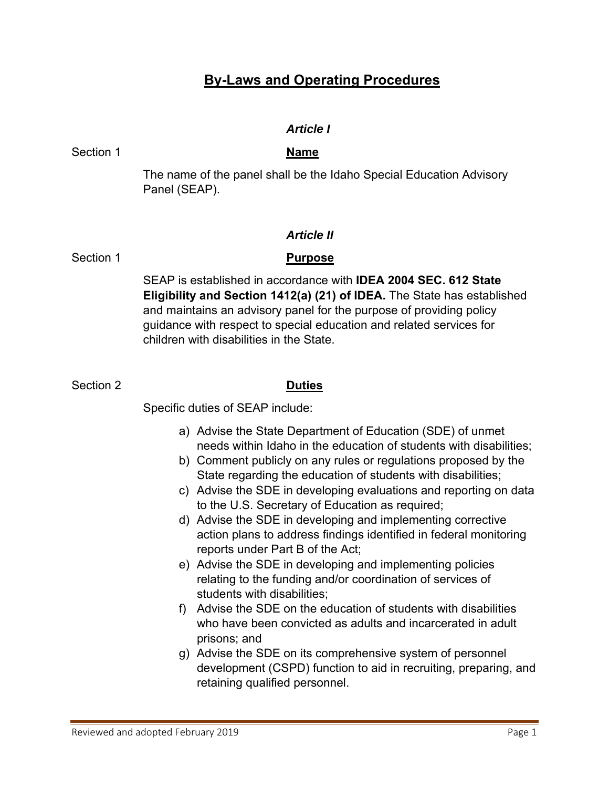# **By-Laws and Operating Procedures**

### *Article I*

Section 1 **Name**

The name of the panel shall be the Idaho Special Education Advisory Panel (SEAP).

### *Article II*

Section 1

### **Purpose**

SEAP is established in accordance with **IDEA 2004 SEC. 612 State Eligibility and Section 1412(a) (21) of IDEA.** The State has established and maintains an advisory panel for the purpose of providing policy guidance with respect to special education and related services for children with disabilities in the State.

Section 2 **Duties**

Specific duties of SEAP include:

- a) Advise the State Department of Education (SDE) of unmet needs within Idaho in the education of students with disabilities;
- b) Comment publicly on any rules or regulations proposed by the State regarding the education of students with disabilities;
- c) Advise the SDE in developing evaluations and reporting on data to the U.S. Secretary of Education as required;
- d) Advise the SDE in developing and implementing corrective action plans to address findings identified in federal monitoring reports under Part B of the Act;
- e) Advise the SDE in developing and implementing policies relating to the funding and/or coordination of services of students with disabilities;
- f) Advise the SDE on the education of students with disabilities who have been convicted as adults and incarcerated in adult prisons; and
- g) Advise the SDE on its comprehensive system of personnel development (CSPD) function to aid in recruiting, preparing, and retaining qualified personnel.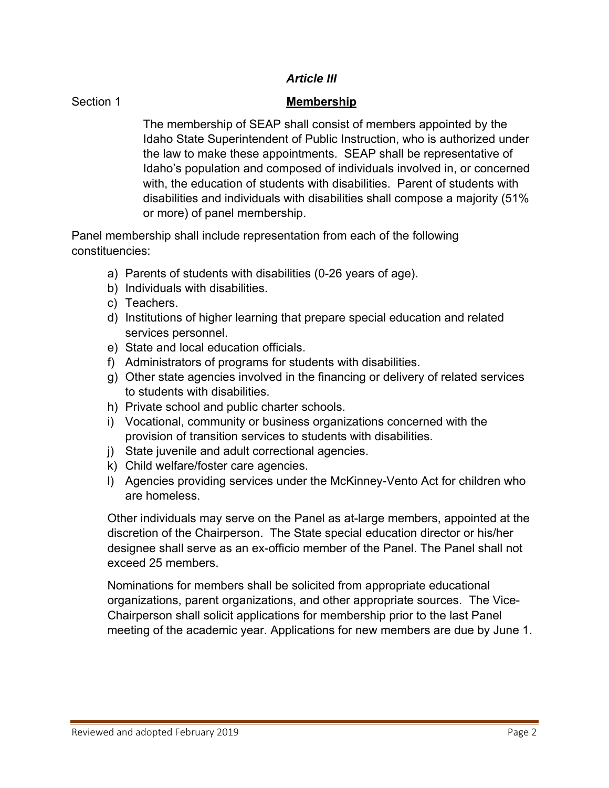### *Article III*

### Section 1

### **Membership**

The membership of SEAP shall consist of members appointed by the Idaho State Superintendent of Public Instruction, who is authorized under the law to make these appointments. SEAP shall be representative of Idaho's population and composed of individuals involved in, or concerned with, the education of students with disabilities. Parent of students with disabilities and individuals with disabilities shall compose a majority (51% or more) of panel membership.

Panel membership shall include representation from each of the following constituencies:

- a) Parents of students with disabilities (0-26 years of age).
- b) Individuals with disabilities.
- c) Teachers.
- d) Institutions of higher learning that prepare special education and related services personnel.
- e) State and local education officials.
- f) Administrators of programs for students with disabilities.
- g) Other state agencies involved in the financing or delivery of related services to students with disabilities.
- h) Private school and public charter schools.
- i) Vocational, community or business organizations concerned with the provision of transition services to students with disabilities.
- j) State juvenile and adult correctional agencies.
- k) Child welfare/foster care agencies.
- l) Agencies providing services under the McKinney-Vento Act for children who are homeless.

Other individuals may serve on the Panel as at-large members, appointed at the discretion of the Chairperson. The State special education director or his/her designee shall serve as an ex-officio member of the Panel. The Panel shall not exceed 25 members.

Nominations for members shall be solicited from appropriate educational organizations, parent organizations, and other appropriate sources. The Vice-Chairperson shall solicit applications for membership prior to the last Panel meeting of the academic year. Applications for new members are due by June 1.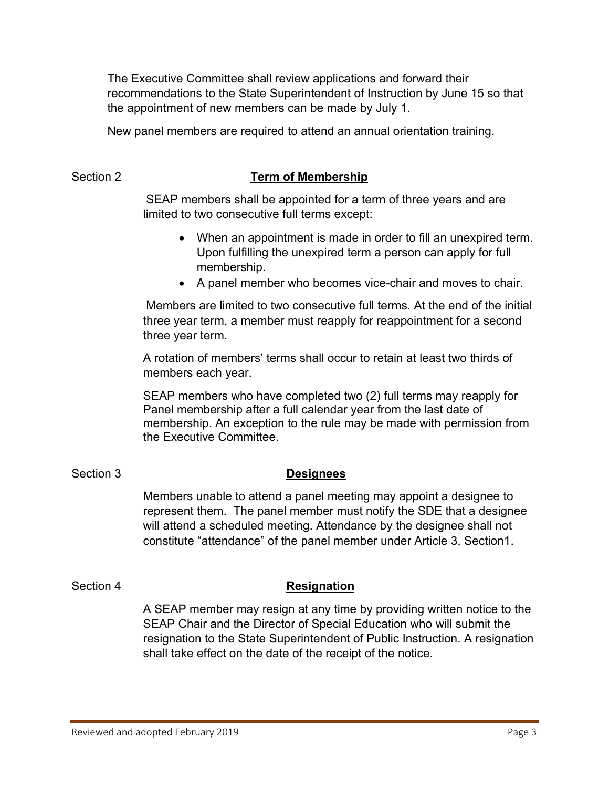The Executive Committee shall review applications and forward their recommendations to the State Superintendent of Instruction by June 15 so that the appointment of new members can be made by July 1.

New panel members are required to attend an annual orientation training.

### Section 2 **Term of Membership**

SEAP members shall be appointed for a term of three years and are limited to two consecutive full terms except:

- When an appointment is made in order to fill an unexpired term. Upon fulfilling the unexpired term a person can apply for full membership.
- A panel member who becomes vice-chair and moves to chair.

Members are limited to two consecutive full terms. At the end of the initial three year term, a member must reapply for reappointment for a second three year term.

A rotation of members' terms shall occur to retain at least two thirds of members each year.

SEAP members who have completed two (2) full terms may reapply for Panel membership after a full calendar year from the last date of membership. An exception to the rule may be made with permission from the Executive Committee.

## Section 3

## **Designees**

Members unable to attend a panel meeting may appoint a designee to represent them. The panel member must notify the SDE that a designee will attend a scheduled meeting. Attendance by the designee shall not constitute "attendance" of the panel member under Article 3, Section1.

### Section 4

## **Resignation**

A SEAP member may resign at any time by providing written notice to the SEAP Chair and the Director of Special Education who will submit the resignation to the State Superintendent of Public Instruction. A resignation shall take effect on the date of the receipt of the notice.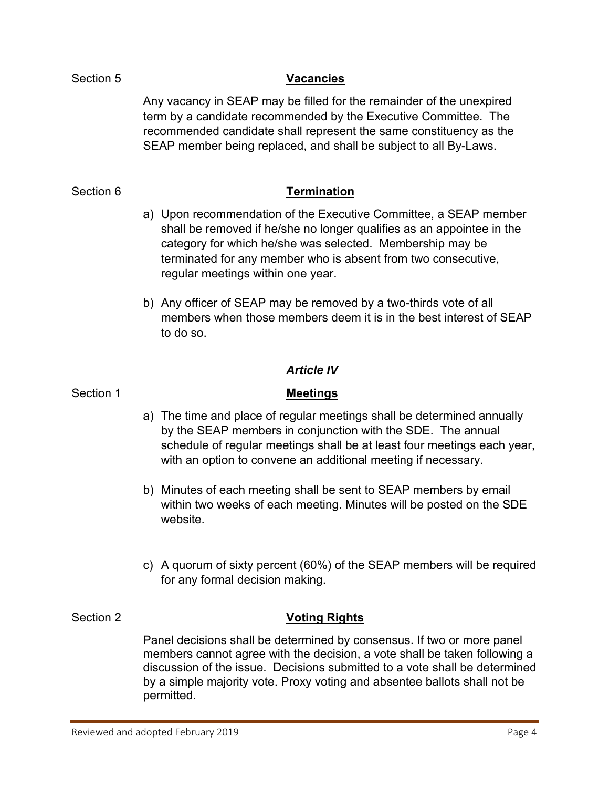## Section 5

### **Vacancies**

Any vacancy in SEAP may be filled for the remainder of the unexpired term by a candidate recommended by the Executive Committee. The recommended candidate shall represent the same constituency as the SEAP member being replaced, and shall be subject to all By-Laws.

### Section 6

### **Termination**

- a) Upon recommendation of the Executive Committee, a SEAP member shall be removed if he/she no longer qualifies as an appointee in the category for which he/she was selected. Membership may be terminated for any member who is absent from two consecutive, regular meetings within one year.
- b) Any officer of SEAP may be removed by a two-thirds vote of all members when those members deem it is in the best interest of SEAP to do so.

### *Article IV*

### Section 1 **Meetings**

- a) The time and place of regular meetings shall be determined annually by the SEAP members in conjunction with the SDE. The annual schedule of regular meetings shall be at least four meetings each year, with an option to convene an additional meeting if necessary.
- b) Minutes of each meeting shall be sent to SEAP members by email within two weeks of each meeting. Minutes will be posted on the SDE website.
- c) A quorum of sixty percent (60%) of the SEAP members will be required for any formal decision making.

### Section 2

## **Voting Rights**

Panel decisions shall be determined by consensus. If two or more panel members cannot agree with the decision, a vote shall be taken following a discussion of the issue. Decisions submitted to a vote shall be determined by a simple majority vote. Proxy voting and absentee ballots shall not be permitted.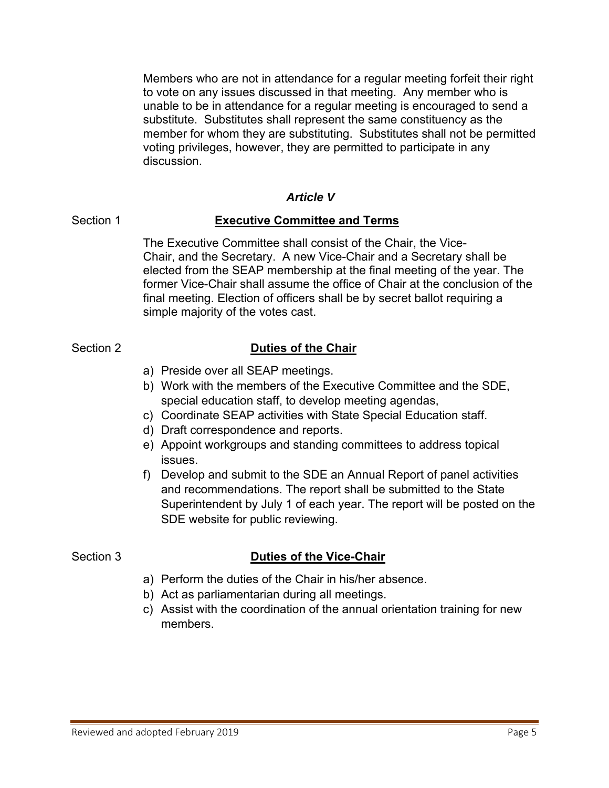Members who are not in attendance for a regular meeting forfeit their right to vote on any issues discussed in that meeting. Any member who is unable to be in attendance for a regular meeting is encouraged to send a substitute. Substitutes shall represent the same constituency as the member for whom they are substituting. Substitutes shall not be permitted voting privileges, however, they are permitted to participate in any discussion.

### *Article V*

## Section 1 **Executive Committee and Terms**

The Executive Committee shall consist of the Chair, the Vice-Chair, and the Secretary. A new Vice-Chair and a Secretary shall be elected from the SEAP membership at the final meeting of the year. The former Vice-Chair shall assume the office of Chair at the conclusion of the final meeting. Election of officers shall be by secret ballot requiring a simple majority of the votes cast.

## Section 2 **Duties of the Chair**

- a) Preside over all SEAP meetings.
- b) Work with the members of the Executive Committee and the SDE, special education staff, to develop meeting agendas,
- c) Coordinate SEAP activities with State Special Education staff.
- d) Draft correspondence and reports.
- e) Appoint workgroups and standing committees to address topical issues.
- f) Develop and submit to the SDE an Annual Report of panel activities and recommendations. The report shall be submitted to the State Superintendent by July 1 of each year. The report will be posted on the SDE website for public reviewing.

## Section 3 **Duties of the Vice-Chair**

- a) Perform the duties of the Chair in his/her absence.
- b) Act as parliamentarian during all meetings.
- c) Assist with the coordination of the annual orientation training for new members.